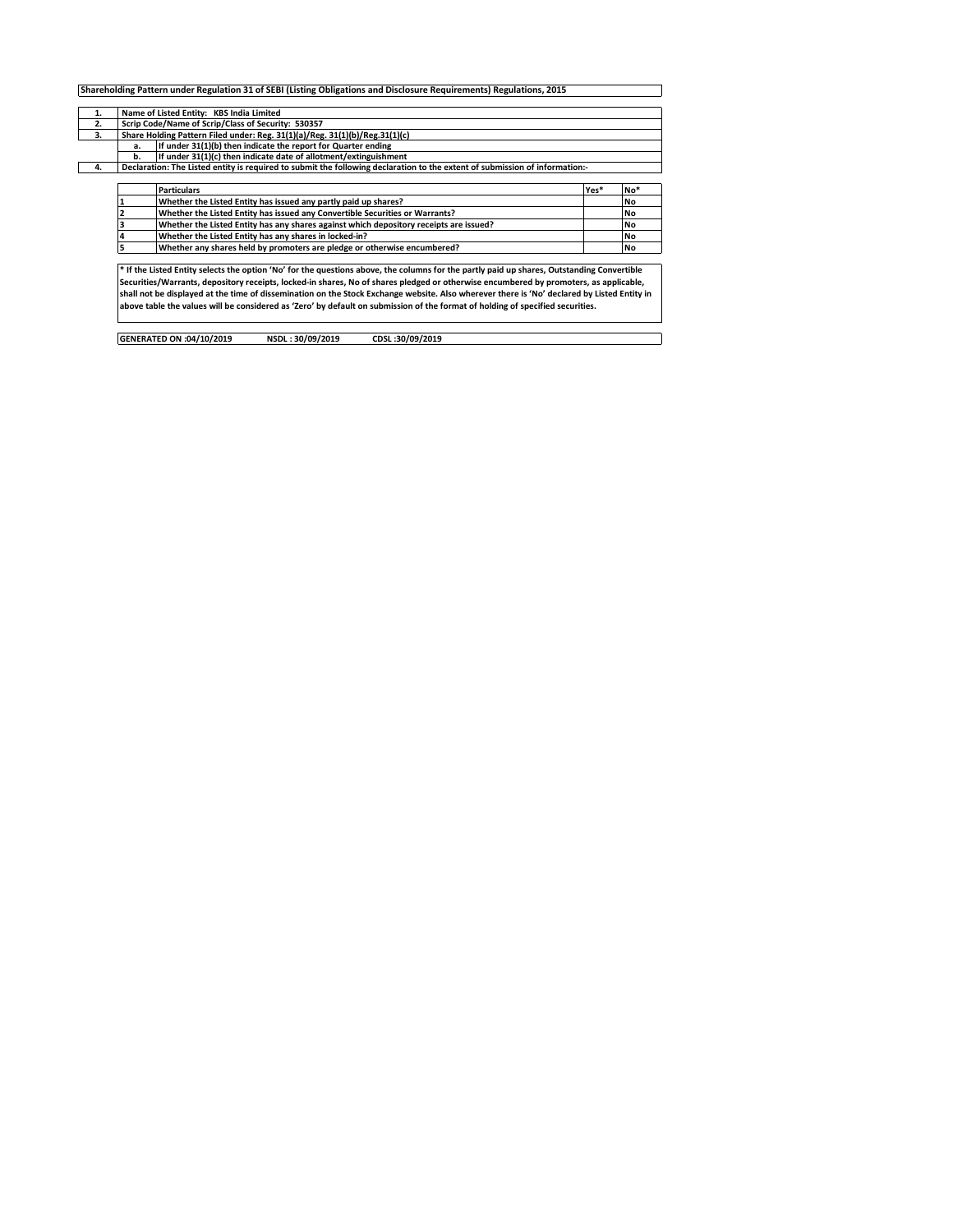|    |                                                                             | Shareholding Pattern under Regulation 31 of SEBI (Listing Obligations and Disclosure Requirements) Regulations, 2015                        |      |           |  |  |  |  |  |  |  |
|----|-----------------------------------------------------------------------------|---------------------------------------------------------------------------------------------------------------------------------------------|------|-----------|--|--|--|--|--|--|--|
|    |                                                                             |                                                                                                                                             |      |           |  |  |  |  |  |  |  |
| 1. |                                                                             | Name of Listed Entity: KBS India Limited                                                                                                    |      |           |  |  |  |  |  |  |  |
| 2. | Scrip Code/Name of Scrip/Class of Security: 530357                          |                                                                                                                                             |      |           |  |  |  |  |  |  |  |
| 3. | Share Holding Pattern Filed under: Reg. 31(1)(a)/Reg. 31(1)(b)/Reg.31(1)(c) |                                                                                                                                             |      |           |  |  |  |  |  |  |  |
|    | If under 31(1)(b) then indicate the report for Quarter ending<br>а.         |                                                                                                                                             |      |           |  |  |  |  |  |  |  |
|    | If under 31(1)(c) then indicate date of allotment/extinguishment<br>b.      |                                                                                                                                             |      |           |  |  |  |  |  |  |  |
| 4. |                                                                             | Declaration: The Listed entity is required to submit the following declaration to the extent of submission of information:-                 |      |           |  |  |  |  |  |  |  |
|    |                                                                             |                                                                                                                                             |      |           |  |  |  |  |  |  |  |
|    |                                                                             | <b>Particulars</b>                                                                                                                          | Yes* | No*       |  |  |  |  |  |  |  |
|    |                                                                             | Whether the Listed Entity has issued any partly paid up shares?                                                                             |      | <b>No</b> |  |  |  |  |  |  |  |
|    |                                                                             | Whether the Listed Entity has issued any Convertible Securities or Warrants?                                                                |      | <b>No</b> |  |  |  |  |  |  |  |
|    |                                                                             | Whether the Listed Entity has any shares against which depository receipts are issued?                                                      |      | <b>No</b> |  |  |  |  |  |  |  |
|    |                                                                             | Whether the Listed Entity has any shares in locked-in?                                                                                      |      | <b>No</b> |  |  |  |  |  |  |  |
|    |                                                                             | Whether any shares held by promoters are pledge or otherwise encumbered?                                                                    |      | <b>No</b> |  |  |  |  |  |  |  |
|    |                                                                             |                                                                                                                                             |      |           |  |  |  |  |  |  |  |
|    |                                                                             | * If the Listed Entity selects the option 'No' for the questions above, the columns for the partly paid up shares, Outstanding Convertible  |      |           |  |  |  |  |  |  |  |
|    |                                                                             | Securities/Warrants, depository receipts, locked-in shares, No of shares pledged or otherwise encumbered by promoters, as applicable,       |      |           |  |  |  |  |  |  |  |
|    |                                                                             | shall not be displaved at the time of dissemination on the Stock Exchange website. Also wherever there is 'No' declared by Listed Entity in |      |           |  |  |  |  |  |  |  |

shall not be displayed at the time of dissemination on the Stock Exchange website. Also wherever there is 'No' declared by Listed Entity in<br>above table the values will be considered as 'Zero' by default on submission of th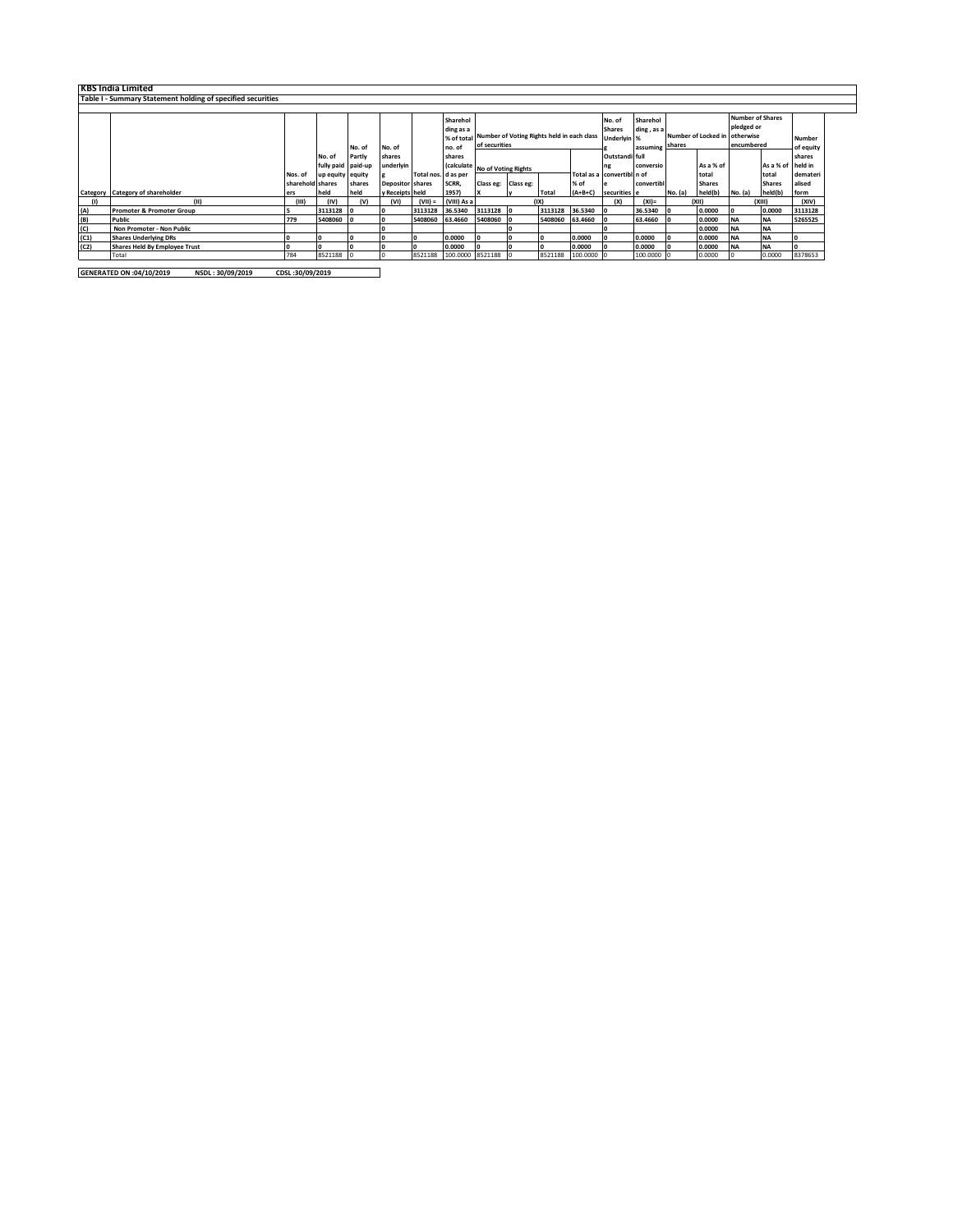|      | <b>KBS India Limited</b>                                    |                  |                    |        |                         |                     |                                |                     |               |                                                       |            |                            |            |                     |               |            |                   |           |
|------|-------------------------------------------------------------|------------------|--------------------|--------|-------------------------|---------------------|--------------------------------|---------------------|---------------|-------------------------------------------------------|------------|----------------------------|------------|---------------------|---------------|------------|-------------------|-----------|
|      | Table I - Summary Statement holding of specified securities |                  |                    |        |                         |                     |                                |                     |               |                                                       |            |                            |            |                     |               |            |                   |           |
|      |                                                             |                  |                    |        |                         |                     |                                |                     |               |                                                       |            |                            |            |                     |               |            |                   |           |
|      | <b>Number of Shares</b><br>Sharehol<br>Sharehol<br>No. of   |                  |                    |        |                         |                     |                                |                     |               |                                                       |            |                            |            |                     |               |            |                   |           |
|      |                                                             |                  |                    |        |                         |                     | ding as a                      |                     |               |                                                       |            | <b>Shares</b>              | ding, as a |                     |               | pledged or |                   |           |
|      |                                                             |                  |                    |        |                         |                     |                                |                     |               | % of total Number of Voting Rights held in each class |            | Underlyin %                |            | Number of Locked in |               | otherwise  |                   | Number    |
|      |                                                             |                  |                    | No. of | No. of                  |                     | no. of                         |                     | of securities |                                                       |            |                            | assuming   | shares              |               | encumbered |                   | of equity |
|      |                                                             |                  | No. of             | Partly | shares                  |                     | shares                         |                     |               |                                                       |            | Outstandi full             |            |                     |               |            |                   | shares    |
|      |                                                             |                  | fully paid paid-up |        | underlyin               |                     | (calculate No of Voting Rights |                     |               |                                                       |            | ng                         | conversio  |                     | As a % of     |            | As a % of held in |           |
|      |                                                             | Nos. of          | up equity equity   |        |                         | Total nos. d as per |                                |                     |               |                                                       |            | Total as a convertibl n of |            |                     | total         |            | total             | demateri  |
|      |                                                             | sharehold shares |                    | shares | <b>Depositor</b> shares |                     | SCRR,                          | Class eg: Class eg: |               |                                                       | % of       |                            | convertib  |                     | <b>Shares</b> |            | <b>Shares</b>     | alised    |
|      | Category Category of shareholder                            | ers              | held               | held   | y Receipts held         |                     | 1957)                          |                     | v             | Total                                                 | $(A+B+C)$  | securities e               |            | No. (a)             | held(b)       | No. (a)    | held(b)           | form      |
|      |                                                             | (III)            | (IV)               | (v)    | (VI)                    | $(VII) =$           | (VIII) As a                    |                     |               | (IX)                                                  |            | (X)                        | $(XI)$ =   |                     | (X  )         |            | (XIII)            | (XIV)     |
| (A)  | <b>Promoter &amp; Promoter Group</b>                        |                  | 3113128            |        |                         | 3113128             | 36.5340                        | 3113128 0           |               | 3113128                                               | 36.5340    |                            | 36.5340    |                     | 0.0000        | 10         | 0.0000            | 3113128   |
| (B)  | Public                                                      | 779              | 5408060            |        |                         | 5408060             | 63,4660                        | 5408060             |               | 5408060                                               | 63.4660    |                            | 63.4660    |                     | 0.0000        | <b>NA</b>  | <b>NA</b>         | 5265525   |
| (C)  | Non Promoter - Non Public                                   |                  |                    |        |                         |                     |                                |                     |               |                                                       |            |                            |            |                     | 0.0000        | <b>NA</b>  | <b>NA</b>         |           |
| (C1) | <b>Shares Underlying DRs</b>                                |                  | I٥                 |        |                         |                     | 0.0000                         |                     |               | ۱о                                                    | 0.0000     |                            | 0.0000     |                     | 0.0000        | <b>NA</b>  | <b>NA</b>         |           |
| (C2) | <b>Shares Held By Employee Trust</b>                        |                  | 10                 |        |                         |                     | 0.0000                         |                     |               | ۱о                                                    | 0.0000     |                            | 0.0000     |                     | 0.0000        | <b>INA</b> | <b>NA</b>         |           |
|      | Total                                                       | 784              | 8521188            |        |                         | 8521188             | 100.0000 8521188               |                     |               | 8521188                                               | 100.0000 0 |                            | 100.0000 0 |                     | 0.0000        |            | 0.0000            | 8378653   |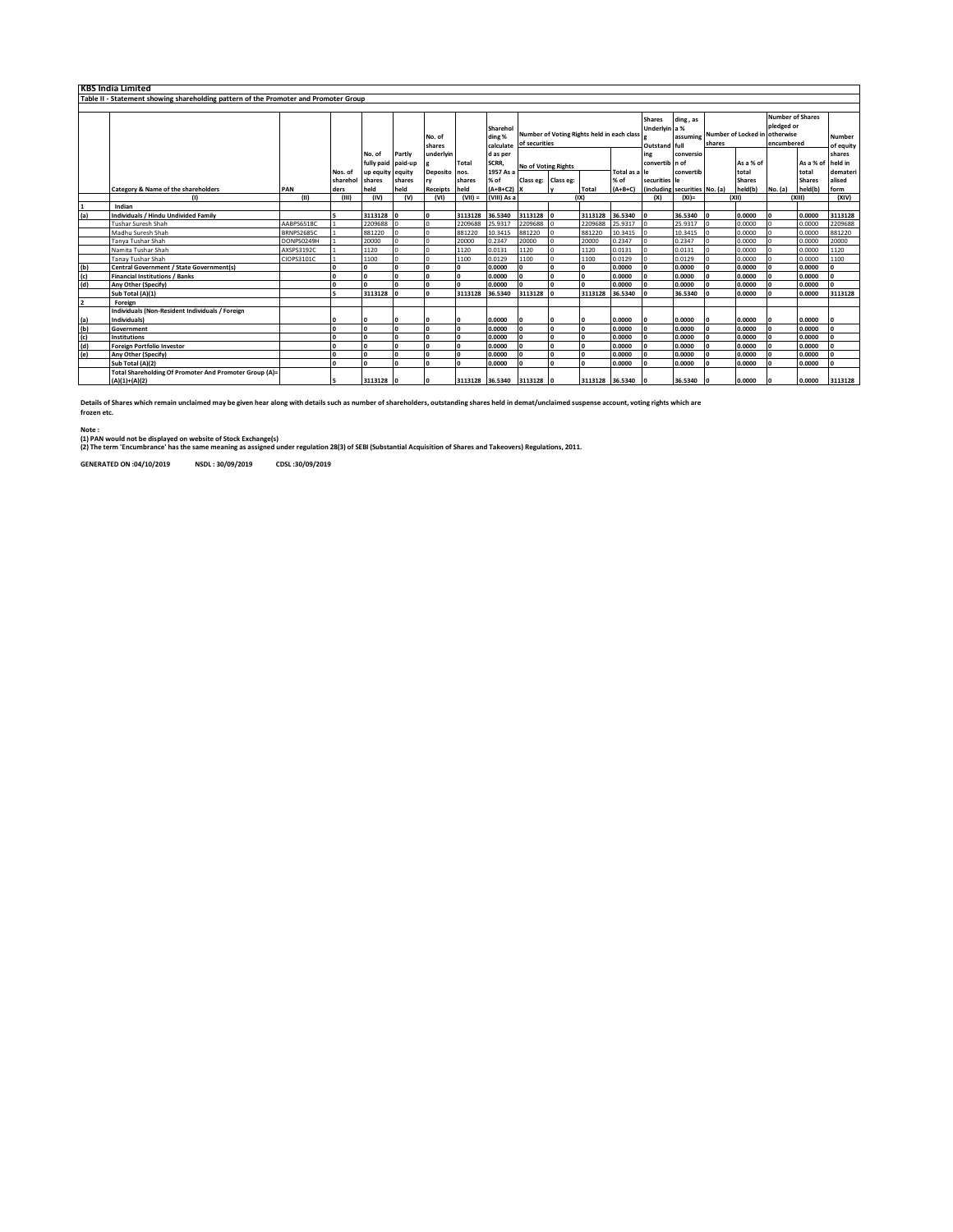|     | <b>KBS India Limited</b>                                                             |            |                 |                  |         |                  |              |                                 |                                                             |              |                 |                                                 |                               |                                         |  |                                                     |         |                            |                |
|-----|--------------------------------------------------------------------------------------|------------|-----------------|------------------|---------|------------------|--------------|---------------------------------|-------------------------------------------------------------|--------------|-----------------|-------------------------------------------------|-------------------------------|-----------------------------------------|--|-----------------------------------------------------|---------|----------------------------|----------------|
|     | Table II - Statement showing shareholding pattern of the Promoter and Promoter Group |            |                 |                  |         |                  |              |                                 |                                                             |              |                 |                                                 |                               |                                         |  |                                                     |         |                            |                |
|     |                                                                                      |            |                 |                  |         |                  |              |                                 |                                                             |              |                 |                                                 |                               |                                         |  |                                                     |         |                            |                |
|     |                                                                                      |            |                 |                  |         | No. of<br>shares |              | Sharehol<br>ding %<br>calculate | Number of Voting Rights held in each class<br>of securities |              |                 | <b>Shares</b><br>Underlyin a %<br>Outstand full | ding, as<br>assuming          | Number of Locked in otherwise<br>shares |  | <b>Number of Shares</b><br>pledged or<br>encumbered |         | <b>Number</b><br>of equity |                |
|     |                                                                                      |            |                 | No. of           | Partly  | underlyin        |              | d as per                        |                                                             |              |                 |                                                 | ing                           | conversio                               |  |                                                     |         |                            | shares         |
|     |                                                                                      |            |                 | fully paid       | paid-up |                  | <b>Total</b> | SCRR,                           | No of Voting Rights                                         |              |                 |                                                 | convertib n of                |                                         |  | As a % of                                           |         | As a % of held in          |                |
|     |                                                                                      |            | Nos. of         | up equity equity |         | Deposito nos.    |              | 1957 As a                       |                                                             |              |                 | Total as a le                                   |                               | convertib                               |  | total                                               |         | total                      | demateri       |
|     |                                                                                      |            | sharehol shares |                  | shares  | rv               | shares       | % of                            | Class eg: Class eg:                                         |              |                 | % of                                            | securities le                 |                                         |  | <b>Shares</b>                                       |         | <b>Shares</b>              | alised         |
|     | Category & Name of the shareholders                                                  | PAN        | ders            | held             | held    | Receipts held    |              | $(A+B+C2)$ X                    |                                                             |              | Total           | $(A+B+C)$                                       | (including securities No. (a) |                                         |  | held(b)                                             | No. (a) | held(b)                    | form           |
|     | (1)                                                                                  | (11)       | (III)           | (IV)             | (v)     | (VI)             | $(VII) =$    | (VIII) As a                     |                                                             |              | (IXI            |                                                 | (X)                           | $(XI) =$                                |  | (X  )                                               |         | (XIII)                     | (X V)          |
|     | Indian                                                                               |            |                 |                  |         |                  |              |                                 |                                                             |              |                 |                                                 |                               |                                         |  |                                                     |         |                            |                |
| (a) | <b>Individuals / Hindu Undivided Family</b>                                          |            |                 | 3113128          |         | $\sqrt{2}$       | 3113128      | 36.5340                         | 3113128                                                     | l n          | 3113128         | 36.5340                                         | ١n                            | 36.5340                                 |  | 0.0000                                              |         | 0.0000                     | 3113128        |
|     | <b>Tushar Suresh Shah</b>                                                            | AABPS6518C |                 | 2209688          |         |                  | 2209688      | 25.9317                         | 2209688                                                     |              | 2209688         | 25.9317                                         |                               | 25.9317                                 |  | 0.0000                                              |         | 0.0000                     | 2209688        |
|     | Madhu Suresh Shah                                                                    | BRNPS2685C |                 | 881220           |         |                  | 881220       | 10.3415                         | 881220                                                      |              | 881220          | 10.3415                                         |                               | 10.3415                                 |  | 0.0000                                              |         | 0.0000                     | 881220         |
|     | Tanya Tushar Shah                                                                    | DONPS0249H |                 | 20000            |         |                  | 20000        | 0.2347                          | 20000                                                       | $\Omega$     | 20000           | 0.2347                                          |                               | 0.2347                                  |  | 0.0000                                              |         | 0.0000                     | 20000          |
|     | Namita Tushar Shah                                                                   | AXSPS3192C |                 | 1120             |         |                  | 1120         | 0.0131                          | 1120                                                        |              | 1120            | 0.0131                                          |                               | 0.0131                                  |  | 0.0000                                              |         | 0.0000                     | 1120           |
|     | <b>Tanay Tushar Shah</b>                                                             | CIOPS3101C |                 | 1100             |         |                  | 1100         | 0.0129                          | 1100                                                        |              | 1100            | 0.0129                                          |                               | 0.0129                                  |  | 0.0000                                              |         | 0.0000                     | 1100           |
| (b) | <b>Central Government / State Government(s)</b>                                      |            | n               |                  |         |                  | I٥           | 0.0000                          | I٥                                                          | $\Omega$     | n               | 0.0000                                          |                               | 0.0000                                  |  | 0.0000                                              |         | 0.0000                     | l o            |
| (c) | <b>Financial Institutions / Banks</b>                                                |            | n               |                  |         |                  | I٥           | 0.0000                          | I٥                                                          | $\mathbf{a}$ |                 | 0.0000                                          |                               | 0.0000                                  |  | 0.0000                                              |         | 0.0000                     | $\mathbf{0}$   |
| (d) | Any Other (Specify)                                                                  |            | n               |                  |         |                  | I٥           | 0.0000                          | l n                                                         | n            |                 | 0.0000                                          |                               | 0.0000                                  |  | 0.0000                                              |         | 0.0000                     | $\overline{0}$ |
|     | Sub Total (A)(1)                                                                     |            |                 | 3113128          |         |                  | 3113128      | 36.5340                         | 3113128                                                     |              | 3113128         | 36.5340                                         |                               | 36.5340                                 |  | 0.0000                                              |         | 0.0000                     | 3113128        |
|     | Foreign                                                                              |            |                 |                  |         |                  |              |                                 |                                                             |              |                 |                                                 |                               |                                         |  |                                                     |         |                            |                |
|     | Individuals (Non-Resident Individuals / Foreign                                      |            |                 |                  |         |                  |              |                                 |                                                             |              |                 |                                                 |                               |                                         |  |                                                     |         |                            |                |
| (a) | Individuals)                                                                         |            |                 |                  |         |                  | I٥           | 0.0000                          |                                                             |              |                 | 0.0000                                          |                               | 0.0000                                  |  | 0.0000                                              |         | 0.0000                     |                |
| (b) | Government                                                                           |            |                 |                  |         |                  | I٥           | 0.0000                          |                                                             | $\mathbf{a}$ |                 | 0.0000                                          |                               | 0.0000                                  |  | 0.0000                                              |         | 0.0000                     | I٥             |
| (c) | <b>Institutions</b>                                                                  |            |                 |                  |         |                  | I٥           | 0.0000                          |                                                             | $\mathbf{a}$ |                 | 0.0000                                          |                               | 0.0000                                  |  | 0.0000                                              |         | 0.0000                     | l n            |
| (d) | <b>Foreign Portfolio Investor</b>                                                    |            |                 |                  |         |                  | I٥           | 0.0000                          | I٥                                                          | $\mathbf{a}$ |                 | 0.0000                                          |                               | 0.0000                                  |  | 0.0000                                              |         | 0.0000                     | I٥             |
| (e) | Any Other (Specify)                                                                  |            | n               |                  |         |                  | I٥           | 0.0000                          | I۵                                                          |              |                 | 0.0000                                          |                               | 0.0000                                  |  | 0.0000                                              |         | 0.0000                     | I٥             |
|     | Sub Total (A)(2)                                                                     |            | n               |                  |         |                  | $\mathbf{0}$ | 0.0000                          | I٥                                                          |              |                 | 0.0000                                          |                               | 0.0000                                  |  | 0.0000                                              |         | 0.0000                     | I٥             |
|     | Total Shareholding Of Promoter And Promoter Group (A)=<br>$(A)(1)+(A)(2)$            |            |                 | 3113128          |         |                  |              | 3113128 36.5340 3113128         |                                                             |              | 3113128 36.5340 |                                                 |                               | 36.5340                                 |  | 0.0000                                              |         | 0.0000                     | 3113128        |
|     |                                                                                      |            |                 |                  |         |                  |              |                                 |                                                             |              |                 |                                                 |                               |                                         |  |                                                     |         |                            |                |

**Details of Shares which remain unclaimed may be given hear along with details such as number of shareholders, outstanding shares held in demat/unclaimed suspense account, voting rights which are frozen etc.**

**Note :**

(1) PAN would not be displayed on website of Stock Exchange(s)<br>(2) The term 'Encumbrance' has the same meaning as assigned under regulation 28(3) of SEBI (Substantial Acquisition of Shares and Takeovers) Regulations, 2011.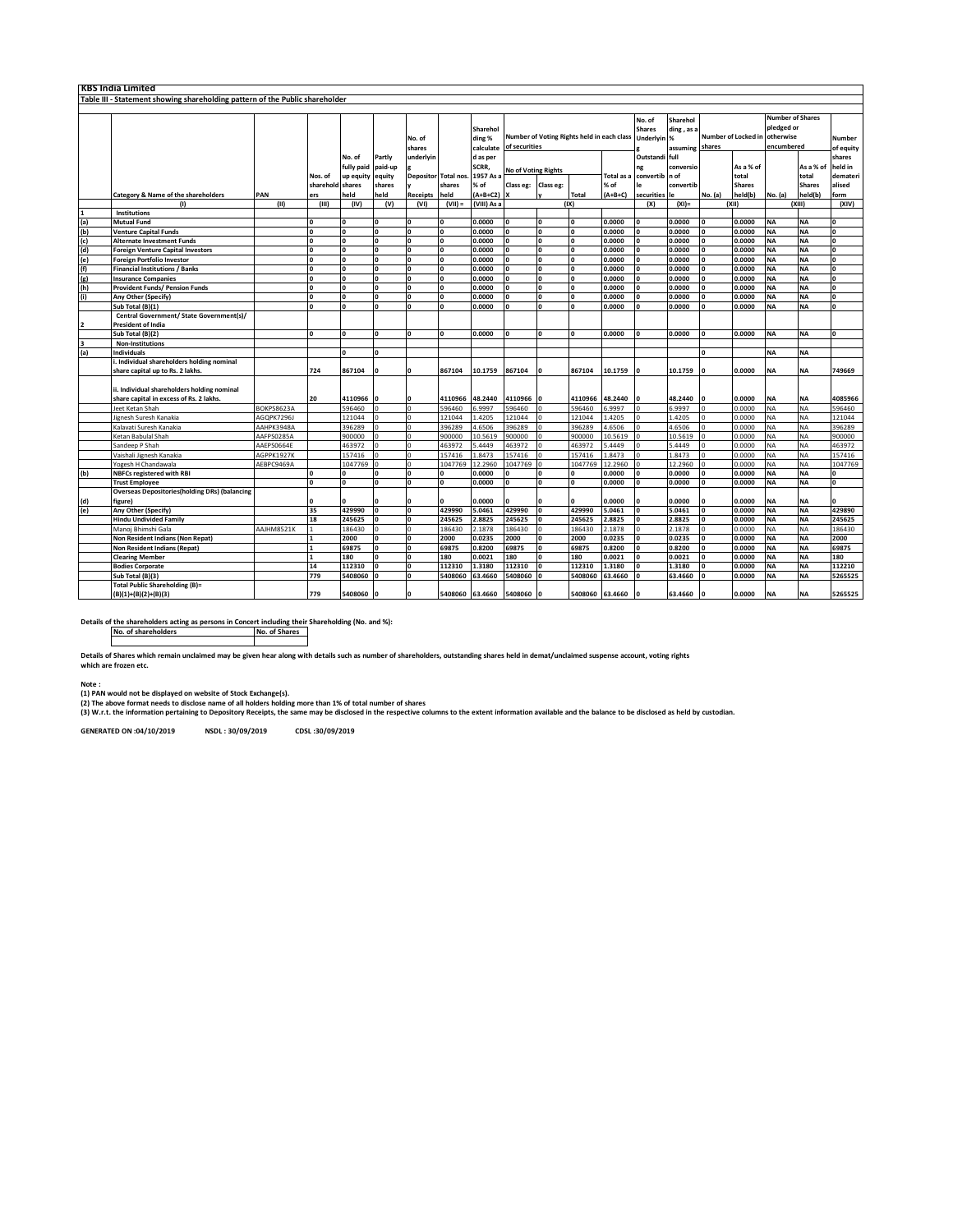|                                                                              | IKBS India Limited                                   |            |                         |                      |                         |                         |                  |                                 |                                                             |                         |                 |                                        |                                                                     |           |                                                                  |               |           |                     |                         |
|------------------------------------------------------------------------------|------------------------------------------------------|------------|-------------------------|----------------------|-------------------------|-------------------------|------------------|---------------------------------|-------------------------------------------------------------|-------------------------|-----------------|----------------------------------------|---------------------------------------------------------------------|-----------|------------------------------------------------------------------|---------------|-----------|---------------------|-------------------------|
| Table III - Statement showing shareholding pattern of the Public shareholder |                                                      |            |                         |                      |                         |                         |                  |                                 |                                                             |                         |                 |                                        |                                                                     |           |                                                                  |               |           |                     |                         |
|                                                                              |                                                      |            |                         |                      |                         |                         |                  |                                 |                                                             |                         |                 |                                        |                                                                     |           |                                                                  |               |           |                     |                         |
|                                                                              |                                                      |            |                         |                      |                         | No. of<br>shares        |                  | Sharehol<br>ding %<br>calculate | Number of Voting Rights held in each class<br>of securities |                         |                 | No. of<br><b>Shares</b><br>Underlyin % | Sharehol<br>ding, as a<br>Number of Locked in<br>shares<br>assuming |           | <b>Number of Shares</b><br>pledged or<br>otherwise<br>encumbered |               |           | Number<br>of equity |                         |
|                                                                              |                                                      |            |                         | No. of<br>fully paid | Partly<br>paid-up       | underlyir               |                  | d as per<br>SCRR,               |                                                             |                         |                 |                                        | Outstandi full<br>ng                                                | conversio |                                                                  | As a % of     |           | As a % of           | shares<br>held in       |
|                                                                              |                                                      |            | Nos. of                 | up equity            | equity                  | Depositor               | <b>Total nos</b> | 1957 As                         | <b>No of Voting Rights</b>                                  |                         |                 | <b>Total</b> as                        | convertib n of                                                      |           |                                                                  | total         |           | total               | demateri                |
|                                                                              |                                                      |            | sharehold shares        |                      | shares                  |                         | shares           | % of                            | Class eg:                                                   | Class eg:               |                 | % of                                   | le                                                                  | convertib |                                                                  | <b>Shares</b> |           | <b>Shares</b>       | alised                  |
|                                                                              | Category & Name of the shareholders                  | PAN        | ers                     | held                 | held                    | Receipts                | held             | $(A+B+C2)$                      |                                                             |                         | Total           | $(A+B+C)$                              | securities                                                          | le        | No. (a)                                                          | held(b)       | No. (a)   | held(b)             | form                    |
|                                                                              | (1)                                                  | (11)       | (III)                   | (IV)                 | (V)                     | (VI)                    | $($ VIII) =      | (VIII) As a                     |                                                             |                         | (IX)            |                                        | (X)                                                                 | $(XI) =$  |                                                                  | (x  )         |           | (XIII)              | (X V)                   |
|                                                                              | Institutions                                         |            |                         |                      |                         |                         |                  |                                 |                                                             |                         |                 |                                        |                                                                     |           |                                                                  |               |           |                     |                         |
| $\frac{1}{2}$                                                                | <b>Mutual Fund</b>                                   |            | l o                     | n                    | <b>O</b>                | n                       | I۵               | 0.0000                          | n                                                           | n                       | n               | 0.0000                                 | $\Omega$                                                            | 0.0000    | $\Omega$                                                         | 0.0000        | <b>NA</b> | <b>NA</b>           | $\mathbf{a}$            |
|                                                                              | <b>Venture Capital Funds</b>                         |            | O                       | 0                    | I٥                      | 0                       | O                | 0.0000                          | n                                                           | 0                       | $\mathbf{o}$    | 0.0000                                 | $\Omega$                                                            | 0.0000    | $\Omega$                                                         | 0.0000        | <b>NA</b> | <b>NA</b>           | $\Omega$                |
| $\begin{pmatrix} 1 \ 1 \end{pmatrix}$                                        | <b>Alternate Investment Funds</b>                    |            | l o                     |                      | $\mathbf{o}$            | O                       | I٥               | 0.0000                          | O                                                           | O                       | $\mathbf{o}$    | 0.0000                                 | $\Omega$                                                            | 0.0000    |                                                                  | 0.0000        | <b>NA</b> | <b>NA</b>           | $\Omega$                |
|                                                                              | <b>Foreign Venture Capital Investors</b>             |            | I٥                      | $\sqrt{2}$           | I٥                      | $\mathbf 0$             | O                | 0.0000                          | $\Omega$                                                    | O                       | $\mathbf{o}$    | 0.0000                                 | $\Omega$                                                            | 0.0000    | $\Omega$                                                         | 0.0000        | <b>NA</b> | <b>NA</b>           | $\Omega$                |
|                                                                              | <b>Foreign Portfolio Investor</b>                    |            | $\overline{\mathbf{0}}$ | $\Omega$             | O                       | $\overline{\mathbf{0}}$ | O                | 0.0000                          | $\Omega$                                                    | $\overline{\mathbf{0}}$ | $\mathbf{o}$    | 0.0000                                 | $\Omega$                                                            | 0.0000    | $\Omega$                                                         | 0.0000        | <b>NA</b> | <b>NA</b>           | $\overline{\mathbf{0}}$ |
| $\frac{e}{f}$<br>$\frac{f}{g}$<br>$\frac{f}{g}$                              | <b>Financial Institutions / Banks</b>                |            | I٥                      |                      | $\mathbf{o}$            | 0                       | O                | 0.0000                          | O                                                           | O                       | $\Omega$        | 0.0000                                 | $\Omega$                                                            | 0.0000    | $\Omega$                                                         | 0.0000        | <b>NA</b> | <b>NA</b>           | $\Omega$                |
|                                                                              | <b>Insurance Companies</b>                           |            | $\overline{\mathbf{0}}$ |                      | $\overline{\mathbf{0}}$ | O                       | o                | 0.0000                          | n                                                           | O                       | $\mathbf{o}$    | 0.0000                                 |                                                                     | 0.0000    |                                                                  | 0.0000        | <b>NA</b> | <b>NA</b>           | $\Omega$                |
|                                                                              | <b>Provident Funds/ Pension Funds</b>                |            | I٥                      | $\Omega$             | l o                     | $\Omega$                | O                | 0.0000                          | $\Omega$                                                    | 0                       | $\Omega$        | 0.0000                                 | $\Omega$                                                            | 0.0000    | $\mathbf{o}$                                                     | 0.0000        | <b>NA</b> | <b>NA</b>           | $\Omega$                |
| (i)                                                                          | Any Other (Specify)                                  |            | I٥                      |                      | I٥                      | 0                       | O                | 0.0000                          | $\Omega$                                                    | o                       | $\Omega$        | 0.0000                                 | $\Omega$                                                            | 0.0000    | $\Omega$                                                         | 0.0000        | <b>NA</b> | <b>NA</b>           | $\Omega$                |
|                                                                              | Sub Total (B)(1)                                     |            | 'n                      |                      | $\overline{0}$          |                         | $\Omega$         | 0.0000                          |                                                             | n                       |                 | 0.0000                                 |                                                                     | 0.0000    |                                                                  | 0.0000        | <b>NA</b> | <b>NA</b>           | $\mathbf{a}$            |
|                                                                              | Central Government/ State Government(s),             |            |                         |                      |                         |                         |                  |                                 |                                                             |                         |                 |                                        |                                                                     |           |                                                                  |               |           |                     |                         |
| 2                                                                            | <b>President of India</b>                            |            |                         |                      |                         |                         |                  |                                 |                                                             |                         |                 |                                        |                                                                     |           |                                                                  |               |           |                     |                         |
|                                                                              | Sub Total (B)(2)                                     |            | l o                     |                      | I٥                      |                         |                  | 0.0000                          |                                                             |                         | $\Omega$        | 0.0000                                 |                                                                     | 0.0000    |                                                                  | 0.0000        | <b>NA</b> | <b>NA</b>           |                         |
|                                                                              | Non-Institutions                                     |            |                         |                      |                         |                         |                  |                                 |                                                             |                         |                 |                                        |                                                                     |           |                                                                  |               |           |                     |                         |
| 3<br>(a)                                                                     | Individuals                                          |            |                         |                      | I٥                      |                         |                  |                                 |                                                             |                         |                 |                                        |                                                                     |           | $\Omega$                                                         |               | <b>NA</b> | <b>NA</b>           |                         |
|                                                                              | i. Individual shareholders holding nominal           |            |                         |                      |                         |                         |                  |                                 |                                                             |                         |                 |                                        |                                                                     |           |                                                                  |               |           |                     |                         |
|                                                                              | share capital up to Rs. 2 lakhs.                     |            | 724                     | 867104               | $\Omega$                |                         | 867104           | 10.1759                         | 867104                                                      |                         | 867104          | 10.1759                                |                                                                     | 10.1759   |                                                                  | 0.0000        | <b>NA</b> | <b>NA</b>           | 749669                  |
|                                                                              |                                                      |            |                         |                      |                         |                         |                  |                                 |                                                             |                         |                 |                                        |                                                                     |           |                                                                  |               |           |                     |                         |
|                                                                              | ii. Individual shareholders holding nominal          |            |                         |                      |                         |                         |                  |                                 |                                                             |                         |                 |                                        |                                                                     |           |                                                                  |               |           |                     |                         |
|                                                                              | share capital in excess of Rs. 2 lakhs.              |            | 20                      | 4110966              | I٥                      |                         | 4110966          | 48.2440                         | 4110966                                                     |                         | 4110966         | 48.2440                                |                                                                     | 48.2440   |                                                                  | 0.0000        | <b>NA</b> | <b>NA</b>           | 4085966                 |
|                                                                              | Jeet Ketan Shah                                      | BOKPS8623A |                         | 596460               | $\Omega$                | $\Omega$                | 596460           | 6.9997                          | 596460                                                      |                         | 596460          | 6.9997                                 |                                                                     | 5.9997    |                                                                  | 0.0000        | <b>NA</b> | NA                  | 596460                  |
|                                                                              | Jignesh Suresh Kanakia                               | AGOPK7296J |                         | 121044               |                         |                         | 121044           | 1.4205                          | 121044                                                      |                         | 121044          | 1.4205                                 |                                                                     | 1.4205    |                                                                  | 0.0000        | <b>NA</b> | <b>NA</b>           | 121044                  |
|                                                                              | Kalavati Suresh Kanakia                              | AAHPK3948A |                         | 396289               | ۰٥                      |                         | 396289           | 4.6506                          | 396289                                                      |                         | 396289          | 4.6506                                 |                                                                     | 1.6506    |                                                                  | 0.0000        | <b>NA</b> | <b>NA</b>           | 396289                  |
|                                                                              | Ketan Babulal Shah                                   | AAFPS0285A |                         | 900000               | $\Omega$                | $\Omega$                | 900000           | 10.5619                         | 900000                                                      |                         | 900000          | 10.5619                                |                                                                     | 10.5619   |                                                                  | 0.0000        | <b>NA</b> | <b>NA</b>           | 900000                  |
|                                                                              | Sandeep P Shah                                       | AAEPS0664E |                         | 463972               |                         |                         | 463972           | 5.4449                          | 463972                                                      |                         | 463972          | 5.4449                                 |                                                                     | 5.4449    |                                                                  | 0.0000        | <b>NA</b> | NA                  | 463972                  |
|                                                                              | Vaishali Jignesh Kanakia                             | AGPPK1927K |                         | 157416               |                         |                         | 157416           | 1.8473                          | 157416                                                      |                         | 157416          | 1.8473                                 |                                                                     | 1.8473    |                                                                  | 0.0000        | <b>NA</b> | NA                  | 157416                  |
|                                                                              | Yogesh H Chandawala                                  | AEBPC9469A |                         | 1047769              | lo                      | $\Omega$                | 1047769          | 12.2960                         | 1047769                                                     |                         | 1047769         | 12.2960                                |                                                                     | 12.2960   |                                                                  | 0.0000        | <b>NA</b> | <b>NA</b>           | 1047769                 |
| (b)                                                                          | <b>NBFCs registered with RBI</b>                     |            | O                       |                      | O                       | 0                       | $\mathbf 0$      | 0.0000                          | O                                                           | O                       | $\mathbf 0$     | 0.0000                                 | $\Omega$                                                            | 0.0000    | 0                                                                | 0.0000        | <b>NA</b> | <b>NA</b>           | $\Omega$                |
|                                                                              | <b>Trust Employee</b>                                |            | I٥                      |                      | $\mathbf{o}$            |                         |                  | 0.0000                          | n                                                           |                         | $\Omega$        | 0.0000                                 | $\Omega$                                                            | 0.0000    |                                                                  | 0.0000        | <b>NA</b> | <b>NA</b>           |                         |
|                                                                              | <b>Overseas Depositories(holding DRs) (balancing</b> |            |                         |                      |                         |                         |                  |                                 |                                                             |                         |                 |                                        |                                                                     |           |                                                                  |               |           |                     |                         |
| (d)<br>(e)                                                                   | figure)                                              |            | <b>O</b>                |                      | $\Omega$                | 0                       | $\Omega$         | 0.0000                          | n                                                           | 0                       | $\Omega$        | 0.0000                                 |                                                                     | 0.0000    |                                                                  | 0.0000        | <b>NA</b> | <b>NA</b>           | $\mathbf{a}$            |
|                                                                              | Any Other (Specify)                                  |            | 35                      | 429990               | I٥                      | o                       | 429990           | 5.0461                          | 429990                                                      | n                       | 429990          | 5.0461                                 | $\Omega$                                                            | 5.0461    | $\Omega$                                                         | 0.0000        | <b>NA</b> | <b>NA</b>           | 429890                  |
|                                                                              | <b>Hindu Undivided Family</b>                        |            | 18                      | 245625               | $\overline{0}$          | O                       | 245625           | 2.8825                          | 245625                                                      |                         | 245625          | 2.8825                                 |                                                                     | 2.8825    |                                                                  | 0.0000        | <b>NA</b> | <b>NA</b>           | 245625                  |
|                                                                              | Manoj Bhimshi Gala                                   | AAJHM8521K | $\overline{1}$          | 186430               | $\circ$                 | $\Omega$                | 186430           | 2.1878                          | 186430                                                      | $\Omega$                | 186430          | 2.1878                                 | $\Omega$                                                            | 2.1878    | $\Omega$                                                         | 0.0000        | <b>NA</b> | <b>NA</b>           | 186430                  |
|                                                                              | Non Resident Indians (Non Repat)                     |            | $\overline{1}$          | 2000                 | I٥                      | $\mathbf 0$             | 2000             | 0.0235                          | 2000                                                        | O                       | 2000            | 0.0235                                 | $\Omega$                                                            | 0.0235    | $\Omega$                                                         | 0.0000        | <b>NA</b> | <b>NA</b>           | 2000                    |
|                                                                              | Non Resident Indians (Repat)                         |            | $\mathbf{1}$            | 69875                | I٥                      | o                       | 69875            | 0.8200                          | 69875                                                       | O                       | 69875           | 0.8200                                 |                                                                     | 0.8200    |                                                                  | 0.0000        | <b>NA</b> | <b>NA</b>           | 69875                   |
|                                                                              | <b>Clearing Member</b>                               |            | $\mathbf{1}$            | 180                  | I٥                      | $\Omega$                | 180              | 0.0021                          | 180                                                         | O                       | 180             | 0.0021                                 | $\Omega$                                                            | 0.0021    | $\Omega$                                                         | 0.0000        | <b>NA</b> | <b>NA</b>           | 180                     |
|                                                                              | <b>Bodies Corporate</b>                              |            | 14                      | 112310               | ١o                      | $\mathbf 0$             | 112310           | 1.3180                          | 112310                                                      | O                       | 112310          | 1.3180                                 | $\Omega$                                                            | 1.3180    | $\Omega$                                                         | 0.0000        | <b>NA</b> | <b>NA</b>           | 112210                  |
|                                                                              | Sub Total (B)(3)                                     |            | 779                     | 5408060              |                         |                         | 5408060          | 63.4660                         | 5408060                                                     |                         | 5408060         | 63.4660                                |                                                                     | 63.4660   |                                                                  | 0.0000        | <b>NA</b> | <b>NA</b>           | 5265525                 |
|                                                                              | Total Public Shareholding (B)=                       |            | 779                     | 5408060              |                         |                         |                  |                                 | 5408060                                                     |                         | 5408060 63.4660 |                                        |                                                                     |           |                                                                  |               | <b>NA</b> |                     | 5265525                 |
|                                                                              | $(B)(1)+(B)(2)+(B)(3)$                               |            |                         |                      |                         |                         |                  | 5408060 63.4660                 |                                                             |                         |                 |                                        |                                                                     | 63.4660   |                                                                  | 0.0000        |           | <b>NA</b>           |                         |

**Details of the shareholders acting as persons in Concert including their Shareholding (No. and %): No. of shareholders No. of Shares**

**Details of Shares which remain unclaimed may be given hear along with details such as number of shareholders, outstanding shares held in demat/unclaimed suspense account, voting rights which are frozen etc.**

**Note : (1) PAN would not be displayed on website of Stock Exchange(s).** 

(2) The above format needs to disclose name of all holders holding more than 1% of total number of shares<br>(3) W.r.t. the information pertaining to Depository Receipts, the same may be disclosed in the respective columns to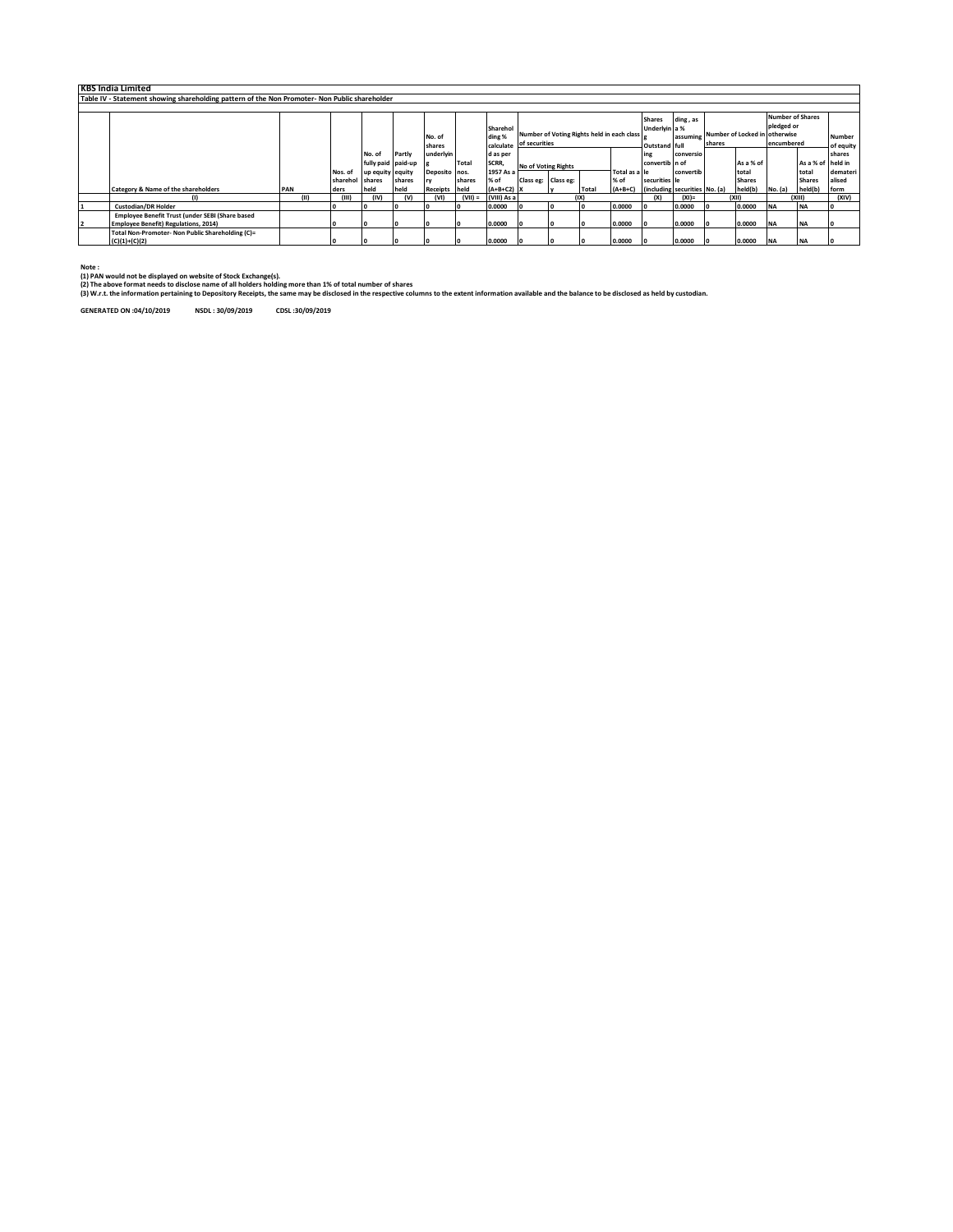| <b>KBS India Limited</b>                                                                      |      |                 |                    |                |               |           |              |                         |                     |                                            |               |                               |           |                                        |               |                         |               |               |
|-----------------------------------------------------------------------------------------------|------|-----------------|--------------------|----------------|---------------|-----------|--------------|-------------------------|---------------------|--------------------------------------------|---------------|-------------------------------|-----------|----------------------------------------|---------------|-------------------------|---------------|---------------|
| Table IV - Statement showing shareholding pattern of the Non Promoter- Non Public shareholder |      |                 |                    |                |               |           |              |                         |                     |                                            |               |                               |           |                                        |               |                         |               |               |
|                                                                                               |      |                 |                    |                |               |           |              |                         |                     |                                            |               |                               |           |                                        |               |                         |               |               |
|                                                                                               |      |                 |                    |                |               |           |              |                         |                     |                                            |               | <b>Shares</b>                 | ding, as  |                                        |               | <b>Number of Shares</b> |               |               |
|                                                                                               |      |                 |                    |                |               |           | Sharehol     |                         |                     |                                            |               | Underlyin a %                 |           | assuming Number of Locked in otherwise |               | pledged or              |               |               |
|                                                                                               |      |                 |                    |                | No. of        |           | ding %       |                         |                     | Number of Voting Rights held in each class |               |                               |           |                                        |               |                         |               | <b>Number</b> |
|                                                                                               |      |                 |                    |                | shares        |           |              | calculate of securities |                     |                                            |               | Outstand full                 |           | shares                                 |               | encumbered              |               | of equity     |
|                                                                                               |      |                 | No. of             | Partly         | underlyin     |           | d as per     |                         |                     |                                            | ing           | conversio                     |           |                                        |               |                         | shares        |               |
|                                                                                               |      |                 | fully paid paid-up |                |               | Total     | SCRR,        | No of Voting Rights     |                     | convertib n of                             |               |                               | As a % of | As a % of held in                      |               |                         |               |               |
|                                                                                               |      | Nos. of         | up equity equity   |                | Deposito nos. |           | 1957 As a    |                         |                     |                                            | Total as a le |                               | convertib |                                        | total         |                         | total         | demateri      |
|                                                                                               |      | sharehol shares |                    | shares         |               | shares    | $%$ of       |                         | Class eg: Class eg: |                                            | % of          | securities le                 |           |                                        | <b>Shares</b> |                         | <b>Shares</b> | alised        |
| <b>Category &amp; Name of the shareholders</b>                                                | PAN  | ders            | held               | held           | Receipts held |           | $(A+B+C2)$ X |                         |                     | Total                                      | $(A+B+C)$     | (including securities No. (a) |           |                                        | held(b)       | No. (a)                 | held(b)       | form          |
| $\omega$                                                                                      | (11) | (III)           | (IV)               | $(\mathsf{V})$ | (VI)          | $(VII) =$ | (VIII) As a  |                         |                     | (IX)                                       |               | (x)                           | $(XI) =$  |                                        | (X  )         |                         | (x  )         | (XIV)         |
| <b>Custodian/DR Holder</b>                                                                    |      |                 | ı٥                 |                |               |           | 0.0000       | 1o                      |                     |                                            | 0.0000        |                               | 0.0000    |                                        | 0.0000        | <b>INA</b>              | <b>NA</b>     | I٥            |
| Employee Benefit Trust (under SEBI (Share based                                               |      |                 |                    |                |               |           |              |                         |                     |                                            |               |                               |           |                                        |               |                         |               |               |
| <b>Employee Benefit) Regulations, 2014)</b>                                                   |      | o               | 10                 |                |               |           | 0.0000       | lo.                     | 10                  |                                            | 0.0000        | $\overline{0}$                | 0.0000    |                                        | 0.0000        | <b>INA</b>              | <b>NA</b>     | I٥            |
| Total Non-Promoter- Non Public Shareholding (C)=                                              |      |                 |                    |                |               |           |              |                         |                     |                                            |               |                               |           |                                        |               |                         |               |               |
| $(C)(1)+(C)(2)$                                                                               |      |                 |                    |                |               |           | 0.0000       | 1o                      |                     |                                            | 0.0000        |                               | 0.0000    |                                        | 0.0000        | <b>INA</b>              |               |               |

**Note : (1) PAN would not be displayed on website of Stock Exchange(s).** 

(2) The above format needs to disclose name of all holders holding more than 1% of total number of shares<br>(3) W.r.t. the information pertaining to Depository Receipts, the same may be disclosed in the respective columns to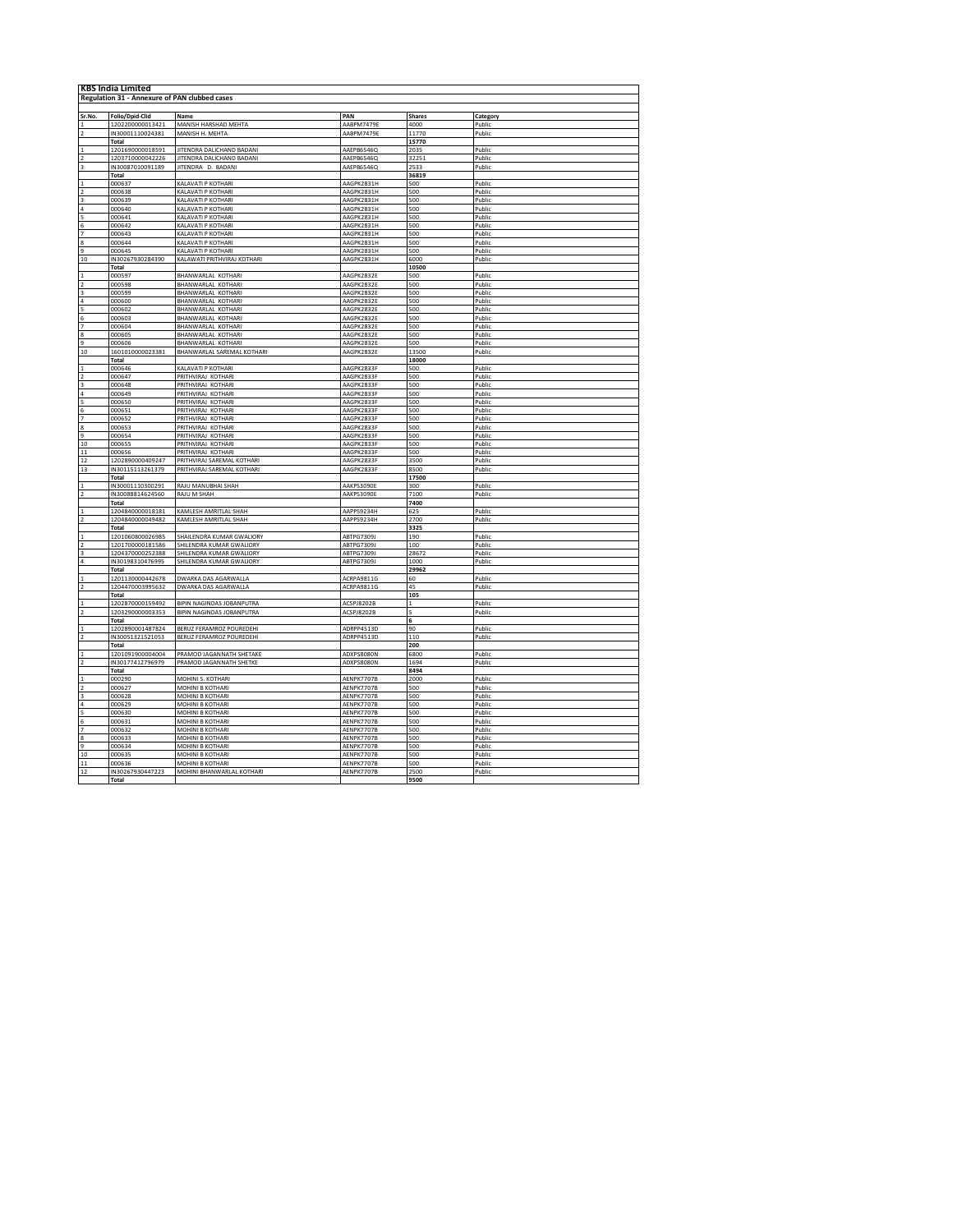| <b>KBS India Limited</b>                          |                            |                                          |                          |               |                  |  |  |  |  |  |  |
|---------------------------------------------------|----------------------------|------------------------------------------|--------------------------|---------------|------------------|--|--|--|--|--|--|
| Regulation 31 - Annexure of PAN clubbed cases     |                            |                                          |                          |               |                  |  |  |  |  |  |  |
|                                                   |                            |                                          |                          |               |                  |  |  |  |  |  |  |
| Sr.No.                                            | <b>Folio/Dpid-Clid</b>     | Name                                     | PAN                      | <b>Shares</b> | Category         |  |  |  |  |  |  |
|                                                   | 1202200000013421           | MANISH HARSHAD MEHTA                     | AABPM7479E               | 4000          | Public           |  |  |  |  |  |  |
|                                                   | IN30001110024381           | MANISH H. MEHTA                          | AABPM7479E               | 11770         | Public           |  |  |  |  |  |  |
|                                                   | <b>Total</b>               |                                          |                          | 15770         |                  |  |  |  |  |  |  |
|                                                   | 1201690000018591           | JITENDRA DALICHAND BADANI                | AAEPB6546Q               | 2035          | Public           |  |  |  |  |  |  |
| $\frac{1}{2}$                                     | 1203710000042226           | JITENDRA DALICHAND BADANI                | AAEPB6546Q               | 32251         | Public           |  |  |  |  |  |  |
|                                                   | IN30087010091189           | JITENDRA D. BADANI                       | AAEPB6546Q               | 2533          | Public           |  |  |  |  |  |  |
|                                                   | <b>Total</b>               |                                          |                          | 36819         |                  |  |  |  |  |  |  |
|                                                   | 000637                     | KALAVATI P KOTHARI                       | AAGPK2831H               | 500           | Public           |  |  |  |  |  |  |
|                                                   | 000638                     | KAI AVATI P KOTHARI                      | AAGPK2831H               | 500           | Public           |  |  |  |  |  |  |
|                                                   | 000639                     | KALAVATI P KOTHARI                       | AAGPK2831H               | 500           | Public           |  |  |  |  |  |  |
| $\begin{array}{c}\n3 \\ 4 \\ 5 \\ 6\n\end{array}$ | 000640                     | KALAVATI P KOTHARI                       | AAGPK2831H               | 500           | Public           |  |  |  |  |  |  |
|                                                   | 000641                     | KAI AVATI P KOTHARI                      | AAGPK2831H               | 500           | Public           |  |  |  |  |  |  |
|                                                   | 000642                     | KALAVATI P KOTHARI                       | AAGPK2831H               | 500           | Public           |  |  |  |  |  |  |
| 7                                                 | 000643                     | KALAVATI P KOTHARI                       | AAGPK2831H               | 500           | Public           |  |  |  |  |  |  |
|                                                   | 000644                     | KALAVATI P KOTHARI                       | AAGPK2831H               | 500           | Public           |  |  |  |  |  |  |
| 9                                                 | 000645                     | KALAVATI P KOTHARI                       | AAGPK2831H               | 500           | Public           |  |  |  |  |  |  |
| 10                                                | IN30267930284390           | KALAWATI PRITHVIRAJ KOTHARI              | AAGPK2831H               | 6000          | Public           |  |  |  |  |  |  |
|                                                   | <b>Total</b>               |                                          |                          | 10500         |                  |  |  |  |  |  |  |
|                                                   | 000597                     | BHANWARLAL KOTHARI                       | AAGPK2832E               | 500           | Public           |  |  |  |  |  |  |
|                                                   | 000598                     | BHANWARLAL KOTHARI                       | AAGPK2832E               | 500           | Public           |  |  |  |  |  |  |
|                                                   | 000599                     | BHANWARLAL KOTHARI                       | AAGPK2832E               | 500           | Public           |  |  |  |  |  |  |
|                                                   | 000600                     | <b>BHANWARLAL KOTHARL</b>                | AAGPK2832F               | 500           | Public           |  |  |  |  |  |  |
|                                                   | 000602                     | BHANWARLAL KOTHARI                       | AAGPK2832E               | 500           | Public           |  |  |  |  |  |  |
|                                                   | 000603                     | BHANWARLAL KOTHARI                       | AAGPK2832E               | 500           | Public           |  |  |  |  |  |  |
|                                                   | 000604                     | BHANWARLAL KOTHARI                       | AAGPK2832E               | 500           | Public           |  |  |  |  |  |  |
| 8                                                 | 000605                     | BHANWARLAL KOTHARI                       | AAGPK2832E               | 500           | Public           |  |  |  |  |  |  |
| 9                                                 | 000606                     | BHANWARLAL KOTHARI                       | AAGPK2832E               | 500           | Public           |  |  |  |  |  |  |
| 10                                                | 1601010000023381           | BHANWARLAL SAREMAL KOTHARI               | AAGPK2832E               | 13500         | Public           |  |  |  |  |  |  |
|                                                   | Total                      |                                          |                          | 18000         |                  |  |  |  |  |  |  |
| $\frac{1}{2}$                                     | 000646                     | KALAVATI P KOTHARI                       | AAGPK2833F               | 500           | Public<br>Public |  |  |  |  |  |  |
|                                                   | 000647<br>000648           | PRITHVIRAJ KOTHARI<br>PRITHVIRAJ KOTHARI | AAGPK2833F<br>AAGPK2833F | 500<br>500    |                  |  |  |  |  |  |  |
| $\frac{3}{10}$ $\frac{4}{10}$ $\frac{5}{10}$      | 000649                     | PRITHVIRAJ KOTHARI                       | AAGPK2833F               | 500           | Public<br>Public |  |  |  |  |  |  |
|                                                   | 000650                     | PRITHVIRAI KOTHARI                       | AAGPK2833F               |               | Public           |  |  |  |  |  |  |
|                                                   | 000651                     | PRITHVIRAJ KOTHARI                       | AAGPK2833F               | 500<br>500    | Public           |  |  |  |  |  |  |
|                                                   | 000652                     | PRITHVIRAJ KOTHARI                       | AAGPK2833F               | 500           | Public           |  |  |  |  |  |  |
|                                                   | 000653                     | PRITHVIRAJ KOTHARI                       | AAGPK2833F               | 500           | Public           |  |  |  |  |  |  |
|                                                   | 000654                     | PRITHVIRAJ KOTHARI                       | AAGPK2833F               | 500           | Public           |  |  |  |  |  |  |
|                                                   | 000655                     | PRITHVIRAI KOTHARI                       | AAGPK2833F               | 500           | Public           |  |  |  |  |  |  |
| $11\,$                                            | 000656                     | PRITHVIRAJ KOTHARI                       | AAGPK2833F               | 500           | Public           |  |  |  |  |  |  |
| 12                                                | 1202890000409247           | PRITHVIRAJ SAREMAL KOTHARI               | AAGPK2833F               | 3500          | Public           |  |  |  |  |  |  |
| 13                                                | IN30115113261379           | PRITHVIRAJ SAREMAL KOTHARI               | AAGPK2833F               | 8500          | Public           |  |  |  |  |  |  |
|                                                   | Total                      |                                          |                          | 17500         |                  |  |  |  |  |  |  |
|                                                   | IN30001110300291           | RAJU MANUBHAI SHAH                       | AAKPS3090E               | 300           | Public           |  |  |  |  |  |  |
| $\frac{1}{2}$                                     | IN30088814624560           | RAJU M SHAH                              | AAKPS3090E               | 7100          | Public           |  |  |  |  |  |  |
|                                                   | Total                      |                                          |                          | 7400          |                  |  |  |  |  |  |  |
|                                                   | 1204840000018181           | KAMLESH AMRITLAL SHAH                    | AAPPS9234H               | 625           | Public           |  |  |  |  |  |  |
|                                                   | 1204840000049482           | KAMLESH AMRITLAL SHAH                    | AAPPS9234H               | 2700          | Public           |  |  |  |  |  |  |
|                                                   | Total                      |                                          |                          | 3325          |                  |  |  |  |  |  |  |
|                                                   | 1201060800026985           | SHAILENDRA KUMAR GWALIORY                | <b>ABTPG7309J</b>        | 190           | Public           |  |  |  |  |  |  |
|                                                   | 1201700000181586           | SHILFNDRA KUMAR GWALIORY                 | <b>ARTPG7309</b>         | 100           | Public           |  |  |  |  |  |  |
|                                                   | 1204370000252388           | SHILENDRA KUMAR GWALIORY                 | ABTPG7309J               | 28672         | Public           |  |  |  |  |  |  |
|                                                   | IN30198310476995           | SHILENDRA KUMAR GWALIORY                 | ABTPG7309J               | 1000          | Public           |  |  |  |  |  |  |
|                                                   | <b>Total</b>               |                                          |                          | 29962         |                  |  |  |  |  |  |  |
|                                                   | 1201130000442678           | DWARKA DAS AGARWALLA                     | ACRPA9811G               | 60            | Public           |  |  |  |  |  |  |
|                                                   | 1204470003995632           | <b>DWARKA DAS AGARWALLA</b>              | ACRPA9811G               | 45            | Public           |  |  |  |  |  |  |
|                                                   | Total                      |                                          |                          | 105           |                  |  |  |  |  |  |  |
|                                                   | 1202870000159492           | BIPIN NAGINDAS JOBANPUTRA                | ACSPJ8202B               | 11            | Public           |  |  |  |  |  |  |
|                                                   | 1203290000003353           | BIPIN NAGINDAS JOBANPUTRA                | <b>ACSPJ8202B</b>        |               | Public           |  |  |  |  |  |  |
|                                                   | Total                      |                                          |                          | 6             |                  |  |  |  |  |  |  |
|                                                   | 1202890001487824           | BERUZ FERAMROZ POUREDEHI                 | ADRPP4513D               | 90            | Public           |  |  |  |  |  |  |
|                                                   | IN30051321521053           | BERUZ FERAMROZ POUREDEHI                 | ADRPP4513D               | 110           | Public           |  |  |  |  |  |  |
|                                                   | <b>Total</b>               |                                          |                          | 200           |                  |  |  |  |  |  |  |
|                                                   | 1201091900004004           | PRAMOD JAGANNATH SHETAKE                 | ADXPS8080N               | 6800          | Public           |  |  |  |  |  |  |
|                                                   | IN30177412796979           | PRAMOD JAGANNATH SHETKE                  | <b>ADXPS8080N</b>        | 1694          | Public           |  |  |  |  |  |  |
|                                                   | Total                      |                                          |                          | 8494          |                  |  |  |  |  |  |  |
|                                                   | 000290                     | MOHINI S. KOTHARI                        | AENPK7707B               | 2000          | Public           |  |  |  |  |  |  |
|                                                   | 000627                     | MOHINI R KOTHARI                         | AFNPK7707B               | 500           | Public           |  |  |  |  |  |  |
| $\begin{array}{c} 3 \\ 4 \\ 5 \\ 6 \end{array}$   | 000628                     | MOHINI B KOTHARI                         | AENPK7707B               | 500           | Public           |  |  |  |  |  |  |
|                                                   | 000629                     | MOHINI B KOTHARI                         | AENPK7707B               | 500           | Public           |  |  |  |  |  |  |
|                                                   | 36000                      | MOHINI R KOTHAR                          | AFNPK7707P               | 500           | Public           |  |  |  |  |  |  |
|                                                   | 000631                     | MOHINI B KOTHARI                         | AENPK7707B               | 500           | Public           |  |  |  |  |  |  |
| 7                                                 | 000632                     | <b>MOHINI B KOTHARI</b>                  | AENPK7707B               | 500           | Public           |  |  |  |  |  |  |
| 8                                                 | 000633                     | MOHINI B KOTHARI                         | AENPK7707B               | 500           | Public           |  |  |  |  |  |  |
| 9                                                 | 000634                     | <b>MOHINI B KOTHARI</b>                  | AENPK7707B               | 500           | Public           |  |  |  |  |  |  |
| 10                                                | 100635                     | MOHINI R KOTHARI                         | AFNPK7707B               | 500           | Public           |  |  |  |  |  |  |
| $11\,$                                            | 000636<br>IN30267930447223 | MOHINI B KOTHARI                         | AENPK7707B<br>AENPK7707B | 500<br>2500   | Public<br>Public |  |  |  |  |  |  |
| 12                                                | Total                      | MOHINI BHANWARLAL KOTHARI                |                          | 9500          |                  |  |  |  |  |  |  |
|                                                   |                            |                                          |                          |               |                  |  |  |  |  |  |  |